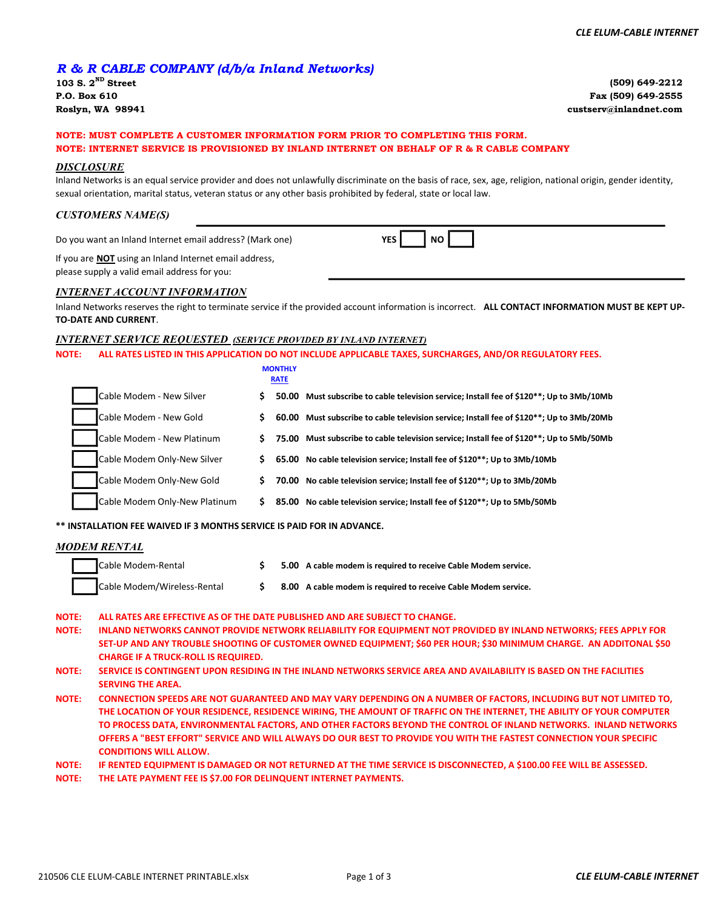### R & R CABLE COMPANY (d/b/a Inland Networks)

103 S.  $2^{ND}$  Street P.O. Box 610 Roslyn, WA 98941

(509) 649-2212 Fax (509) 649-2555 custserv@inlandnet.com

# NOTE: MUST COMPLETE A CUSTOMER INFORMATION FORM PRIOR TO COMPLETING THIS FORM.

#### NOTE: INTERNET SERVICE IS PROVISIONED BY INLAND INTERNET ON BEHALF OF R & R CABLE COMPANY

#### DISCLOSURE

Inland Networks is an equal service provider and does not unlawfully discriminate on the basis of race, sex, age, religion, national origin, gender identity, sexual orientation, marital status, veteran status or any other basis prohibited by federal, state or local law.

#### CUSTOMERS NAME(S)

Do you want an Inland Internet email address? (Mark one)

YES NO

If you are **NOT** using an Inland Internet email address, please supply a valid email address for you:

#### INTERNET ACCOUNT INFORMATION

Inland Networks reserves the right to terminate service if the provided account information is incorrect. ALL CONTACT INFORMATION MUST BE KEPT UP-TO-DATE AND CURRENT.

#### INTERNET SERVICE REQUESTED (SERVICE PROVIDED BY INLAND INTERNET)

NOTE: ALL RATES LISTED IN THIS APPLICATION DO NOT INCLUDE APPLICABLE TAXES, SURCHARGES, AND/OR REGULATORY FEES.

|              |                                                                                                                  |     | <b>MONTHLY</b><br><b>RATE</b> |                                                                                                                     |  |  |  |  |
|--------------|------------------------------------------------------------------------------------------------------------------|-----|-------------------------------|---------------------------------------------------------------------------------------------------------------------|--|--|--|--|
|              | Cable Modem - New Silver                                                                                         | S.  |                               | 50.00 Must subscribe to cable television service; Install fee of \$120**; Up to 3Mb/10Mb                            |  |  |  |  |
|              | Cable Modem - New Gold                                                                                           | S.  |                               | 60.00 Must subscribe to cable television service; Install fee of \$120**; Up to 3Mb/20Mb                            |  |  |  |  |
|              | Cable Modem - New Platinum                                                                                       | S.  |                               | 75.00 Must subscribe to cable television service; Install fee of \$120**; Up to 5Mb/50Mb                            |  |  |  |  |
|              | Cable Modem Only-New Silver                                                                                      | \$. |                               | 65.00 No cable television service; Install fee of \$120**; Up to 3Mb/10Mb                                           |  |  |  |  |
|              | Cable Modem Only-New Gold                                                                                        | S.  |                               | 70.00 No cable television service; Install fee of \$120**; Up to 3Mb/20Mb                                           |  |  |  |  |
|              | Cable Modem Only-New Platinum                                                                                    | Ś.  |                               | 85.00 No cable television service; Install fee of \$120**; Up to 5Mb/50Mb                                           |  |  |  |  |
|              | ** INSTALLATION FEE WAIVED IF 3 MONTHS SERVICE IS PAID FOR IN ADVANCE.                                           |     |                               |                                                                                                                     |  |  |  |  |
|              | MODEM RENTAL                                                                                                     |     |                               |                                                                                                                     |  |  |  |  |
|              | Cable Modem-Rental                                                                                               | Ś.  |                               | 5.00 A cable modem is required to receive Cable Modem service.                                                      |  |  |  |  |
|              | Cable Modem/Wireless-Rental                                                                                      | \$. |                               | 8.00 A cable modem is required to receive Cable Modem service.                                                      |  |  |  |  |
| <b>NOTE:</b> |                                                                                                                  |     |                               | ALL RATES ARE EFFECTIVE AS OF THE DATE PUBLISHED AND ARE SUBJECT TO CHANGE.                                         |  |  |  |  |
| <b>NOTE:</b> | INLAND NETWORKS CANNOT PROVIDE NETWORK RELIABILITY FOR EQUIPMENT NOT PROVIDED BY INLAND NETWORKS; FEES APPLY FOR |     |                               |                                                                                                                     |  |  |  |  |
|              | <b>CHARGE IF A TRUCK-ROLL IS REQUIRED.</b>                                                                       |     |                               | SET-UP AND ANY TROUBLE SHOOTING OF CUSTOMER OWNED EQUIPMENT; \$60 PER HOUR; \$30 MINIMUM CHARGE. AN ADDITONAL \$50  |  |  |  |  |
| <b>NOTE:</b> | <b>SERVING THE AREA.</b>                                                                                         |     |                               | SERVICE IS CONTINGENT UPON RESIDING IN THE INLAND NETWORKS SERVICE AREA AND AVAILABILITY IS BASED ON THE FACILITIES |  |  |  |  |

CONNECTION SPEEDS ARE NOT GUARANTEED AND MAY VARY DEPENDING ON A NUMBER OF FACTORS, INCLUDING BUT NOT LIMITED TO, THE LOCATION OF YOUR RESIDENCE, RESIDENCE WIRING, THE AMOUNT OF TRAFFIC ON THE INTERNET, THE ABILITY OF YOUR COMPUTER TO PROCESS DATA, ENVIRONMENTAL FACTORS, AND OTHER FACTORS BEYOND THE CONTROL OF INLAND NETWORKS. INLAND NETWORKS OFFERS A "BEST EFFORT" SERVICE AND WILL ALWAYS DO OUR BEST TO PROVIDE YOU WITH THE FASTEST CONNECTION YOUR SPECIFIC CONDITIONS WILL ALLOW. NOTE:

NOTE: IF RENTED EQUIPMENT IS DAMAGED OR NOT RETURNED AT THE TIME SERVICE IS DISCONNECTED, A \$100.00 FEE WILL BE ASSESSED.

NOTE: THE LATE PAYMENT FEE IS \$7.00 FOR DELINQUENT INTERNET PAYMENTS.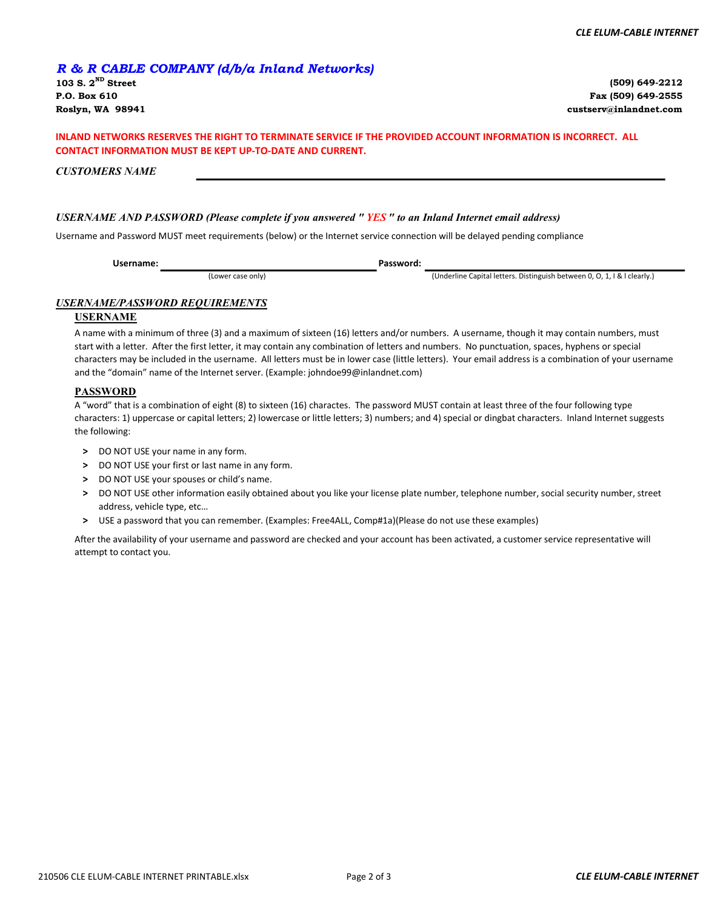## R & R CABLE COMPANY (d/b/a Inland Networks)

(Lower case only)

103 S.  $2^{ND}$  Street P.O. Box 610

(509) 649-2212 Fax (509) 649-2555 Roslyn, WA 98941 custserv@inlandnet.com

#### INLAND NETWORKS RESERVES THE RIGHT TO TERMINATE SERVICE IF THE PROVIDED ACCOUNT INFORMATION IS INCORRECT. ALL CONTACT INFORMATION MUST BE KEPT UP-TO-DATE AND CURRENT.

CUSTOMERS NAME

#### USERNAME AND PASSWORD (Please complete if you answered " YES " to an Inland Internet email address)

Username and Password MUST meet requirements (below) or the Internet service connection will be delayed pending compliance

Username:

Password:

(Underline Capital letters. Distinguish between 0, O, 1, I & l clearly.)

#### USERNAME/PASSWORD REQUIREMENTS

#### USERNAME

A name with a minimum of three (3) and a maximum of sixteen (16) letters and/or numbers. A username, though it may contain numbers, must start with a letter. After the first letter, it may contain any combination of letters and numbers. No punctuation, spaces, hyphens or special characters may be included in the username. All letters must be in lower case (little letters). Your email address is a combination of your username and the "domain" name of the Internet server. (Example: johndoe99@inlandnet.com)

#### PASSWORD

A "word" that is a combination of eight (8) to sixteen (16) charactes. The password MUST contain at least three of the four following type characters: 1) uppercase or capital letters; 2) lowercase or little letters; 3) numbers; and 4) special or dingbat characters. Inland Internet suggests the following:

- > DO NOT USE your name in any form.
- > DO NOT USE your first or last name in any form.
- > DO NOT USE your spouses or child's name.
- > DO NOT USE other information easily obtained about you like your license plate number, telephone number, social security number, street address, vehicle type, etc…
- > USE a password that you can remember. (Examples: Free4ALL, Comp#1a)(Please do not use these examples)

After the availability of your username and password are checked and your account has been activated, a customer service representative will attempt to contact you.